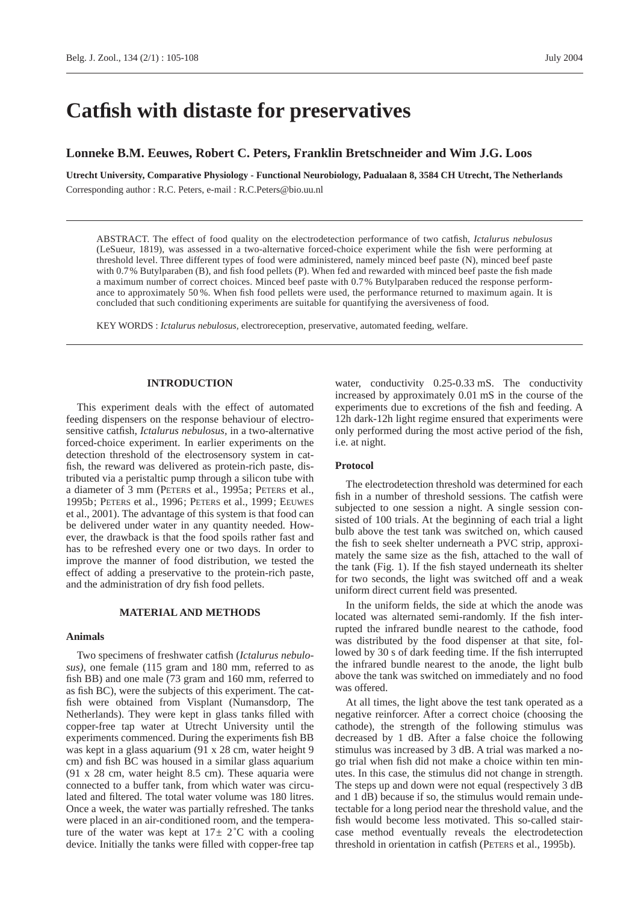# **Catfish with distaste for preservatives**

# **Lonneke B.M. Eeuwes, Robert C. Peters, Franklin Bretschneider and Wim J.G. Loos**

**Utrecht University, Comparative Physiology - Functional Neurobiology, Padualaan 8, 3584 CH Utrecht, The Netherlands** Corresponding author : R.C. Peters, e-mail : R.C.Peters@bio.uu.nl

ABSTRACT. The effect of food quality on the electrodetection performance of two catfish, *Ictalurus nebulosus* (LeSueur, 1819), was assessed in a two-alternative forced-choice experiment while the fish were performing at threshold level. Three different types of food were administered, namely minced beef paste (N), minced beef paste with 0.7% Butylparaben (B), and fish food pellets (P). When fed and rewarded with minced beef paste the fish made a maximum number of correct choices. Minced beef paste with 0.7% Butylparaben reduced the response performance to approximately 50 %. When fish food pellets were used, the performance returned to maximum again. It is concluded that such conditioning experiments are suitable for quantifying the aversiveness of food.

KEY WORDS : *Ictalurus nebulosus,* electroreception, preservative, automated feeding, welfare.

# **INTRODUCTION**

This experiment deals with the effect of automated feeding dispensers on the response behaviour of electrosensitive catfish, *Ictalurus nebulosus,* in a two-alternative forced-choice experiment. In earlier experiments on the detection threshold of the electrosensory system in catfish, the reward was delivered as protein-rich paste, distributed via a peristaltic pump through a silicon tube with a diameter of 3 mm (PETERS et al., 1995a; PETERS et al., 1995b; PETERS et al., 1996; PETERS et al., 1999; EEUWES et al., 2001). The advantage of this system is that food can be delivered under water in any quantity needed. However, the drawback is that the food spoils rather fast and has to be refreshed every one or two days. In order to improve the manner of food distribution, we tested the effect of adding a preservative to the protein-rich paste, and the administration of dry fish food pellets.

# **MATERIAL AND METHODS**

#### **Animals**

Two specimens of freshwater catfish (*Ictalurus nebulosus)*, one female (115 gram and 180 mm, referred to as fish BB) and one male (73 gram and 160 mm, referred to as fish BC), were the subjects of this experiment. The catfish were obtained from Visplant (Numansdorp, The Netherlands). They were kept in glass tanks filled with copper-free tap water at Utrecht University until the experiments commenced. During the experiments fish BB was kept in a glass aquarium (91 x 28 cm, water height 9 cm) and fish BC was housed in a similar glass aquarium (91 x 28 cm, water height 8.5 cm). These aquaria were connected to a buffer tank, from which water was circulated and filtered. The total water volume was 180 litres. Once a week, the water was partially refreshed. The tanks were placed in an air-conditioned room, and the temperature of the water was kept at  $17 \pm 2$ °C with a cooling device. Initially the tanks were filled with copper-free tap

water, conductivity 0.25-0.33 mS. The conductivity increased by approximately 0.01 mS in the course of the experiments due to excretions of the fish and feeding. A 12h dark-12h light regime ensured that experiments were only performed during the most active period of the fish, i.e. at night.

#### **Protocol**

The electrodetection threshold was determined for each fish in a number of threshold sessions. The catfish were subjected to one session a night. A single session consisted of 100 trials. At the beginning of each trial a light bulb above the test tank was switched on, which caused the fish to seek shelter underneath a PVC strip, approximately the same size as the fish, attached to the wall of the tank (Fig. 1). If the fish stayed underneath its shelter for two seconds, the light was switched off and a weak uniform direct current field was presented.

In the uniform fields, the side at which the anode was located was alternated semi-randomly. If the fish interrupted the infrared bundle nearest to the cathode, food was distributed by the food dispenser at that site, followed by 30 s of dark feeding time. If the fish interrupted the infrared bundle nearest to the anode, the light bulb above the tank was switched on immediately and no food was offered.

At all times, the light above the test tank operated as a negative reinforcer. After a correct choice (choosing the cathode), the strength of the following stimulus was decreased by 1 dB. After a false choice the following stimulus was increased by 3 dB. A trial was marked a nogo trial when fish did not make a choice within ten minutes. In this case, the stimulus did not change in strength. The steps up and down were not equal (respectively 3 dB and 1 dB) because if so, the stimulus would remain undetectable for a long period near the threshold value, and the fish would become less motivated. This so-called staircase method eventually reveals the electrodetection threshold in orientation in catfish (PETERS et al., 1995b).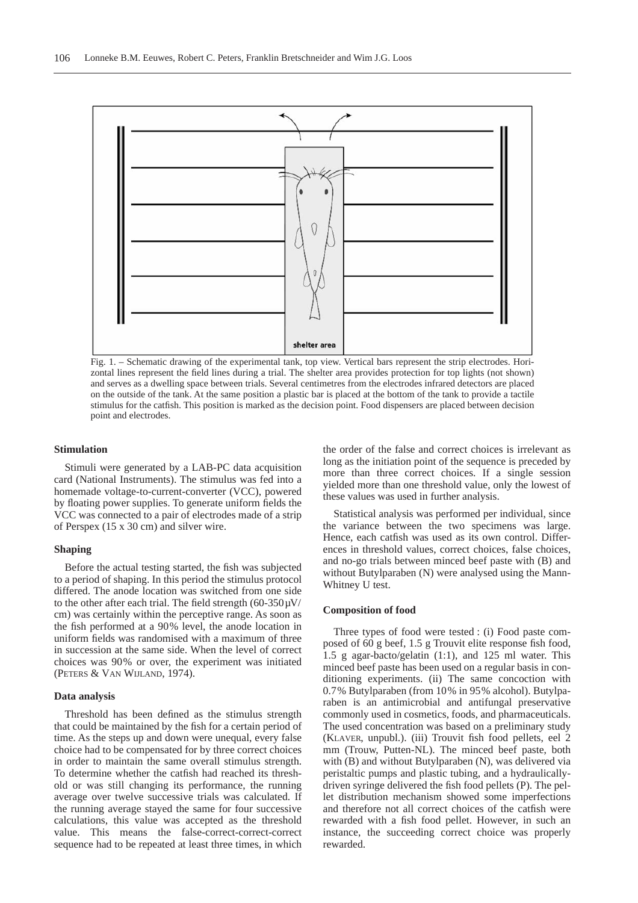

Fig. 1. – Schematic drawing of the experimental tank, top view. Vertical bars represent the strip electrodes. Horizontal lines represent the field lines during a trial. The shelter area provides protection for top lights (not shown) and serves as a dwelling space between trials. Several centimetres from the electrodes infrared detectors are placed on the outside of the tank. At the same position a plastic bar is placed at the bottom of the tank to provide a tactile stimulus for the catfish. This position is marked as the decision point. Food dispensers are placed between decision point and electrodes.

#### **Stimulation**

Stimuli were generated by a LAB-PC data acquisition card (National Instruments). The stimulus was fed into a homemade voltage-to-current-converter (VCC), powered by floating power supplies. To generate uniform fields the VCC was connected to a pair of electrodes made of a strip of Perspex (15 x 30 cm) and silver wire.

#### **Shaping**

Before the actual testing started, the fish was subjected to a period of shaping. In this period the stimulus protocol differed. The anode location was switched from one side to the other after each trial. The field strength  $(60-350\mu\text{V}/$ cm) was certainly within the perceptive range. As soon as the fish performed at a 90% level, the anode location in uniform fields was randomised with a maximum of three in succession at the same side. When the level of correct choices was 90% or over, the experiment was initiated (PETERS & VAN WIJLAND, 1974).

## **Data analysis**

Threshold has been defined as the stimulus strength that could be maintained by the fish for a certain period of time. As the steps up and down were unequal, every false choice had to be compensated for by three correct choices in order to maintain the same overall stimulus strength. To determine whether the catfish had reached its threshold or was still changing its performance, the running average over twelve successive trials was calculated. If the running average stayed the same for four successive calculations, this value was accepted as the threshold value. This means the false-correct-correct-correct sequence had to be repeated at least three times, in which

the order of the false and correct choices is irrelevant as long as the initiation point of the sequence is preceded by more than three correct choices. If a single session yielded more than one threshold value, only the lowest of these values was used in further analysis.

Statistical analysis was performed per individual, since the variance between the two specimens was large. Hence, each catfish was used as its own control. Differences in threshold values, correct choices, false choices, and no-go trials between minced beef paste with (B) and without Butylparaben (N) were analysed using the Mann-Whitney U test.

#### **Composition of food**

Three types of food were tested : (i) Food paste composed of 60 g beef, 1.5 g Trouvit elite response fish food, 1.5 g agar-bacto/gelatin (1:1), and 125 ml water. This minced beef paste has been used on a regular basis in conditioning experiments. (ii) The same concoction with 0.7% Butylparaben (from 10% in 95% alcohol). Butylparaben is an antimicrobial and antifungal preservative commonly used in cosmetics, foods, and pharmaceuticals. The used concentration was based on a preliminary study (KLAVER, unpubl.). (iii) Trouvit fish food pellets, eel 2 mm (Trouw, Putten-NL). The minced beef paste, both with (B) and without Butylparaben (N), was delivered via peristaltic pumps and plastic tubing, and a hydraulicallydriven syringe delivered the fish food pellets (P). The pellet distribution mechanism showed some imperfections and therefore not all correct choices of the catfish were rewarded with a fish food pellet. However, in such an instance, the succeeding correct choice was properly rewarded.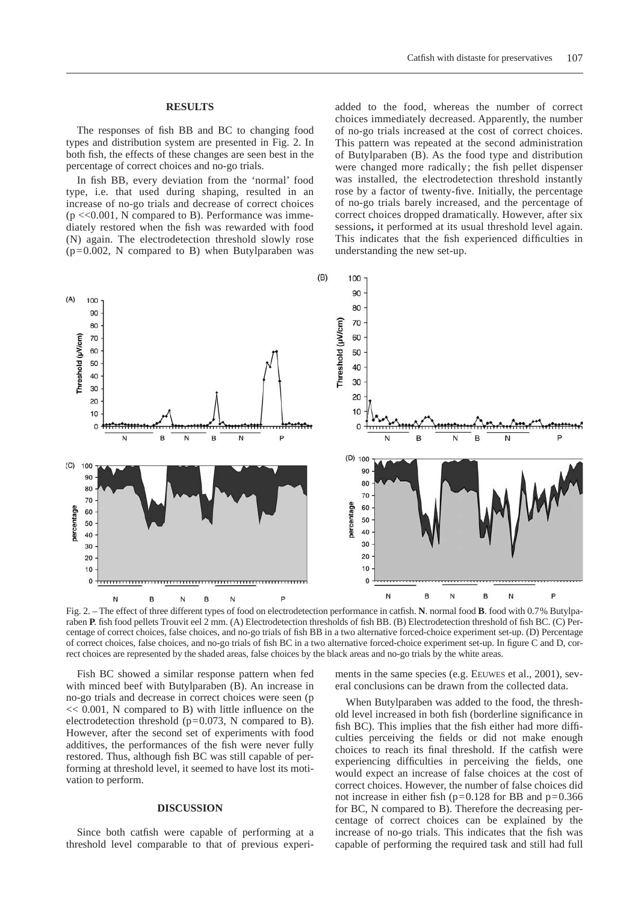#### **RESULTS**

The responses of fish BB and BC to changing food types and distribution system are presented in Fig. 2. In both fish, the effects of these changes are seen best in the percentage of correct choices and no-go trials.

In fish BB, every deviation from the 'normal' food type, i.e. that used during shaping, resulted in an increase of no-go trials and decrease of correct choices  $(p \ll 0.001, N$  compared to B). Performance was immediately restored when the fish was rewarded with food (N) again. The electrodetection threshold slowly rose  $(p=0.002, N$  compared to B) when Butylparaben was

added to the food, whereas the number of correct choices immediately decreased. Apparently, the number of no-go trials increased at the cost of correct choices. This pattern was repeated at the second administration of Butylparaben (B). As the food type and distribution were changed more radically; the fish pellet dispenser was installed, the electrodetection threshold instantly rose by a factor of twenty-five. Initially, the percentage of no-go trials barely increased, and the percentage of correct choices dropped dramatically. However, after six sessions**,** it performed at its usual threshold level again. This indicates that the fish experienced difficulties in understanding the new set-up.



Fig. 2. – The effect of three different types of food on electrodetection performance in catfish. **N**. normal food **B**. food with 0.7% Butylparaben **P**. fish food pellets Trouvit eel 2 mm. (A) Electrodetection thresholds of fish BB. (B) Electrodetection threshold of fish BC. (C) Percentage of correct choices, false choices, and no-go trials of fish BB in a two alternative forced-choice experiment set-up. (D) Percentage of correct choices, false choices, and no-go trials of fish BC in a two alternative forced-choice experiment set-up. In figure C and D, correct choices are represented by the shaded areas, false choices by the black areas and no-go trials by the white areas.

Fish BC showed a similar response pattern when fed with minced beef with Butylparaben (B). An increase in no-go trials and decrease in correct choices were seen (p  $<< 0.001$ , N compared to B) with little influence on the electrodetection threshold ( $p=0.073$ , N compared to B). However, after the second set of experiments with food additives, the performances of the fish were never fully restored. Thus, although fish BC was still capable of performing at threshold level, it seemed to have lost its motivation to perform.

### **DISCUSSION**

Since both catfish were capable of performing at a threshold level comparable to that of previous experi-

ments in the same species (e.g. EEUWES et al., 2001), several conclusions can be drawn from the collected data.

When Butylparaben was added to the food, the threshold level increased in both fish (borderline significance in fish BC). This implies that the fish either had more difficulties perceiving the fields or did not make enough choices to reach its final threshold. If the catfish were experiencing difficulties in perceiving the fields, one would expect an increase of false choices at the cost of correct choices. However, the number of false choices did not increase in either fish ( $p=0.128$  for BB and  $p=0.366$ ) for BC, N compared to B). Therefore the decreasing percentage of correct choices can be explained by the increase of no-go trials. This indicates that the fish was capable of performing the required task and still had full